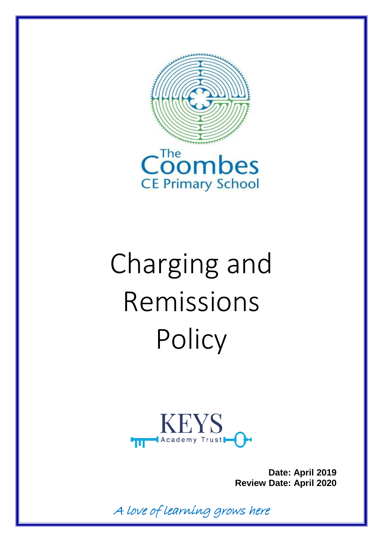



# Charging and Remissions **Policy**



**Date: April 2019 Review Date: April 2020**

A love of learning grows here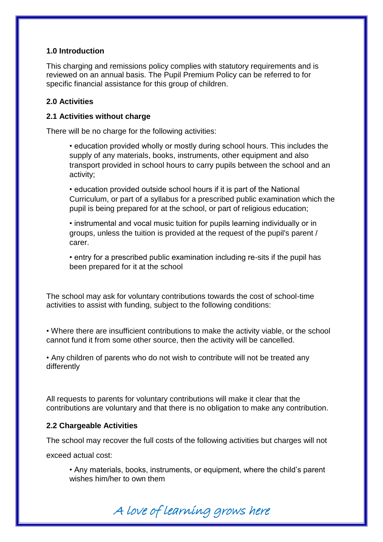## **1.0 Introduction**

This charging and remissions policy complies with statutory requirements and is reviewed on an annual basis. The Pupil Premium Policy can be referred to for specific financial assistance for this group of children.

## **2.0 Activities**

## **2.1 Activities without charge**

There will be no charge for the following activities:

• education provided wholly or mostly during school hours. This includes the supply of any materials, books, instruments, other equipment and also transport provided in school hours to carry pupils between the school and an activity;

• education provided outside school hours if it is part of the National Curriculum, or part of a syllabus for a prescribed public examination which the pupil is being prepared for at the school, or part of religious education;

• instrumental and vocal music tuition for pupils learning individually or in groups, unless the tuition is provided at the request of the pupil's parent / carer.

• entry for a prescribed public examination including re-sits if the pupil has been prepared for it at the school

The school may ask for voluntary contributions towards the cost of school-time activities to assist with funding, subject to the following conditions:

• Where there are insufficient contributions to make the activity viable, or the school cannot fund it from some other source, then the activity will be cancelled.

• Any children of parents who do not wish to contribute will not be treated any differently

All requests to parents for voluntary contributions will make it clear that the contributions are voluntary and that there is no obligation to make any contribution.

## **2.2 Chargeable Activities**

The school may recover the full costs of the following activities but charges will not

exceed actual cost:

• Any materials, books, instruments, or equipment, where the child's parent wishes him/her to own them

A love of learning grows here